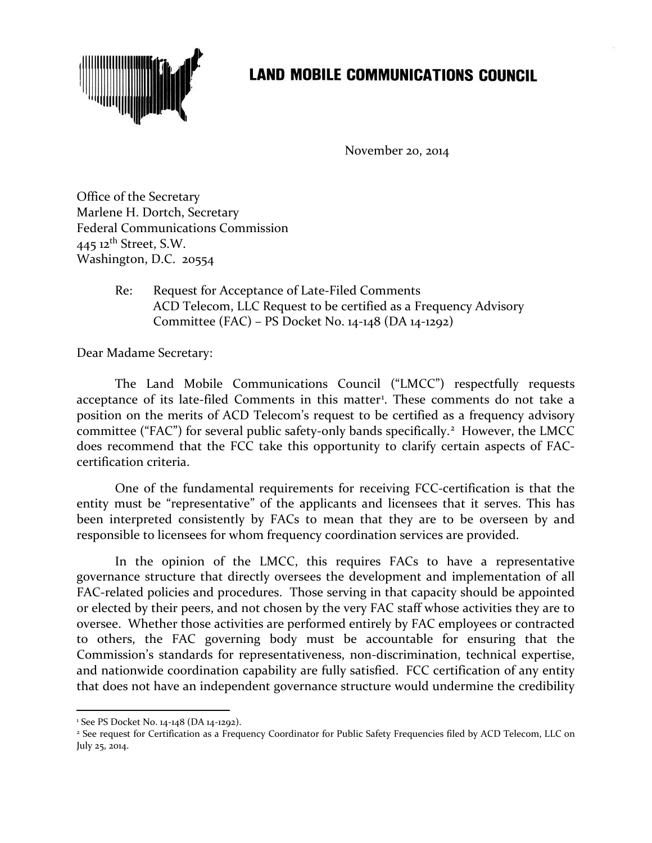

## **LAND MOBILE COMMUNICATIONS COUNCIL**

November 20, 2014

Office of the Secretary Marlene H. Dortch, Secretary Federal Communications Commission 445 12<sup>th</sup> Street, S.W. Washington, D.C. 20554

> Re: Request for Acceptance of Late-Filed Comments ACD Telecom, LLC Request to be certified as a Frequency Advisory Committee (FAC) – PS Docket No. 14-148 (DA 14-1292)

Dear Madame Secretary:

The Land Mobile Communications Council ("LMCC") respectfully requests acceptance of its late-filed Comments in this matter<sup>[1](#page-0-0)</sup>. These comments do not take a position on the merits of ACD Telecom's request to be certified as a frequency advisory committee ("FAC") for several public safety-only bands specifically.<sup>[2](#page-0-1)</sup> However, the LMCC does recommend that the FCC take this opportunity to clarify certain aspects of FACcertification criteria.

One of the fundamental requirements for receiving FCC-certification is that the entity must be "representative" of the applicants and licensees that it serves. This has been interpreted consistently by FACs to mean that they are to be overseen by and responsible to licensees for whom frequency coordination services are provided.

In the opinion of the LMCC, this requires FACs to have a representative governance structure that directly oversees the development and implementation of all FAC-related policies and procedures. Those serving in that capacity should be appointed or elected by their peers, and not chosen by the very FAC staff whose activities they are to oversee. Whether those activities are performed entirely by FAC employees or contracted to others, the FAC governing body must be accountable for ensuring that the Commission's standards for representativeness, non-discrimination, technical expertise, and nationwide coordination capability are fully satisfied. FCC certification of any entity that does not have an independent governance structure would undermine the credibility

<sup>1</sup> See PS Docket No. 14-148 (DA 14-1292). l

<span id="page-0-1"></span><span id="page-0-0"></span><sup>&</sup>lt;sup>2</sup> See request for Certification as a Frequency Coordinator for Public Safety Frequencies filed by ACD Telecom, LLC on July 25, 2014.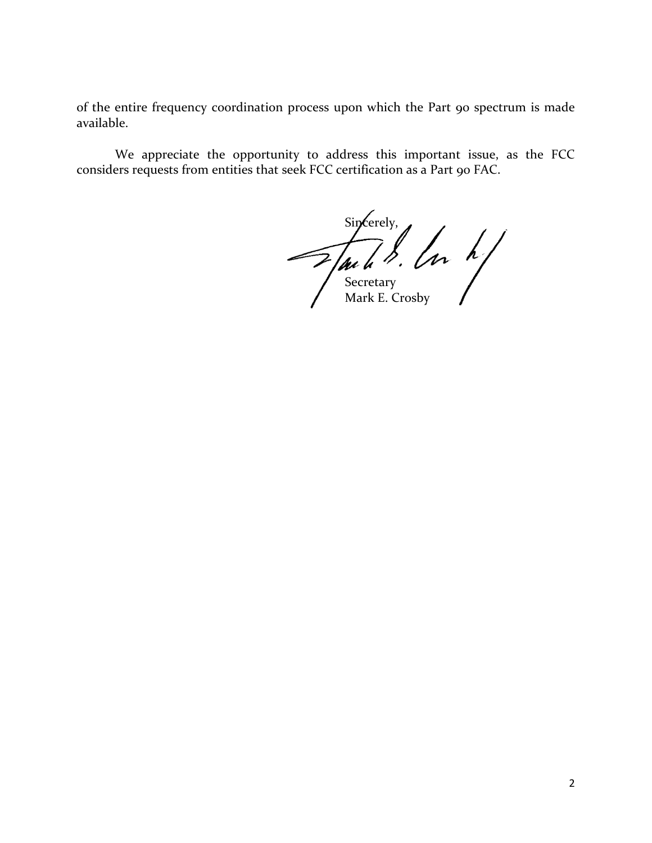of the entire frequency coordination process upon which the Part 90 spectrum is made available.

We appreciate the opportunity to address this important issue, as the FCC considers requests from entities that seek FCC certification as a Part 90 FAC.

Sincerely, **Secretary** Mark E. Crosby